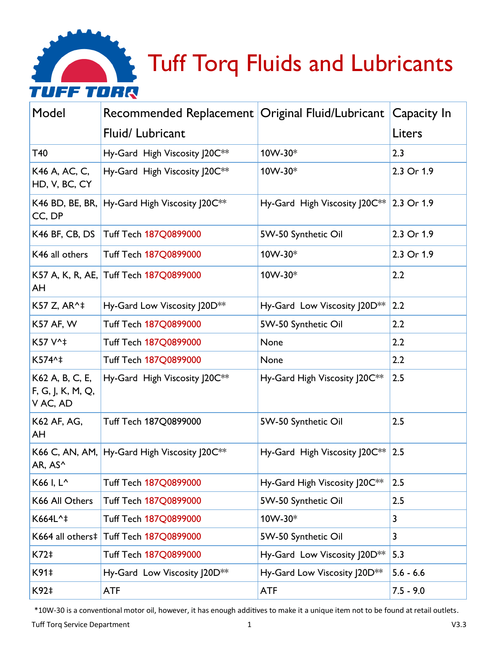

| Model                                            | Recommended Replacement   Original Fluid/Lubricant |                                          | Capacity In             |
|--------------------------------------------------|----------------------------------------------------|------------------------------------------|-------------------------|
|                                                  | Fluid/ Lubricant                                   |                                          | Liters                  |
| T40                                              | Hy-Gard High Viscosity J20C**                      | 10W-30*                                  | 2.3                     |
| K46 A, AC, C,<br>HD, V, BC, CY                   | Hy-Gard High Viscosity J20C**                      | 10W-30*                                  | 2.3 Or 1.9              |
| CC, DP                                           | K46 BD, BE, BR, Hy-Gard High Viscosity J20C**      | Hy-Gard High Viscosity J20C** 2.3 Or 1.9 |                         |
| K46 BF, CB, DS                                   | <b>Tuff Tech 187Q0899000</b>                       | 5W-50 Synthetic Oil                      | 2.3 Or 1.9              |
| K46 all others                                   | <b>Tuff Tech 187Q0899000</b>                       | 10W-30*                                  | 2.3 Or 1.9              |
| AH                                               | K57 A, K, R, AE, Tuff Tech 187Q0899000             | 10W-30*                                  | 2.2                     |
| K57 Z, AR^‡                                      | Hy-Gard Low Viscosity J20D**                       | Hy-Gard Low Viscosity J20D**             | 2.2                     |
| <b>K57 AF, W</b>                                 | Tuff Tech 187Q0899000                              | 5W-50 Synthetic Oil                      | 2.2                     |
| K57 V^‡                                          | Tuff Tech 187Q0899000                              | None                                     | 2.2                     |
| K574^‡                                           | Tuff Tech 187Q0899000                              | None                                     | 2.2                     |
| K62 A, B, C, E,<br>F, G, J, K, M, Q,<br>V AC, AD | Hy-Gard High Viscosity J20C**                      | Hy-Gard High Viscosity J20C**            | 2.5                     |
| K62 AF, AG,<br>AH                                | Tuff Tech 187Q0899000                              | 5W-50 Synthetic Oil                      | 2.5                     |
| AR, AS^                                          | K66 C, AN, AM, Hy-Gard High Viscosity J20C**       | Hy-Gard High Viscosity J20C**            | 2.5                     |
| K66 I, L <sup>^</sup>                            | Tuff Tech 187Q0899000                              | Hy-Gard High Viscosity J20C**            | 2.5                     |
| K66 All Others                                   | Tuff Tech 187Q0899000                              | 5W-50 Synthetic Oil                      | 2.5                     |
| K664L^‡                                          | Tuff Tech 187Q0899000                              | 10W-30*                                  | $\overline{\mathbf{3}}$ |
| K664 all others‡                                 | Tuff Tech 187Q0899000                              | 5W-50 Synthetic Oil                      | 3                       |
| K72‡                                             | Tuff Tech 187Q0899000                              | Hy-Gard Low Viscosity J20D**             | 5.3                     |
| K91‡                                             | Hy-Gard Low Viscosity J20D**                       | Hy-Gard Low Viscosity J20D**             | $5.6 - 6.6$             |
| K92‡                                             | <b>ATF</b>                                         | <b>ATF</b>                               | $7.5 - 9.0$             |

\*10W-30 is a conventional motor oil, however, it has enough additives to make it a unique item not to be found at retail outlets.

Tuff Torq Service Department 1 and 1 and 1 and 1 and 1 and 1 and 1 and 1 and 1 and 1 and 1 and 1 and 1 and 1 and 1 and 1 and 1 and 1 and 1 and 1 and 1 and 1 and 1 and 1 and 1 and 1 and 1 and 1 and 1 and 1 and 1 and 1 and 1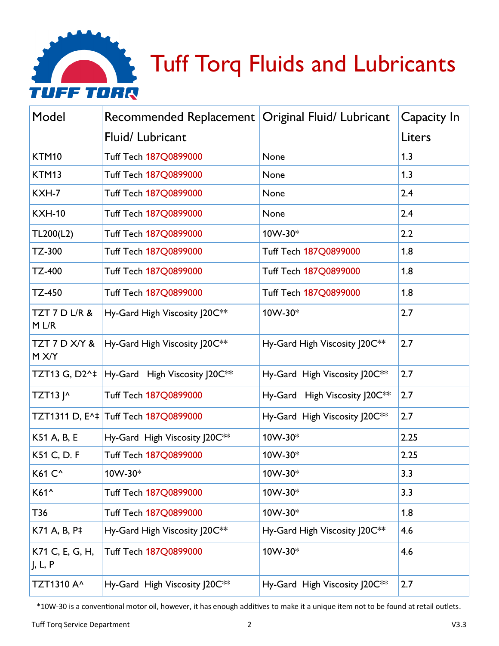

| Model                      | Recommended Replacement   Original Fluid/ Lubricant |                                           | Capacity In |
|----------------------------|-----------------------------------------------------|-------------------------------------------|-------------|
|                            | Fluid/Lubricant                                     |                                           | Liters      |
| KTM10                      | Tuff Tech 187Q0899000                               | None                                      | 1.3         |
| KTM13                      | Tuff Tech 187Q0899000                               | None                                      | 1.3         |
| KXH-7                      | Tuff Tech 187Q0899000                               | None                                      | 2.4         |
| <b>KXH-10</b>              | Tuff Tech 187Q0899000                               | None                                      | 2.4         |
| TL200(L2)                  | Tuff Tech 187Q0899000                               | 10W-30*                                   | 2.2         |
| TZ-300                     | <b>Tuff Tech 187Q0899000</b>                        | <b>Tuff Tech 187Q0899000</b>              | 1.8         |
| <b>TZ-400</b>              | Tuff Tech 187Q0899000                               | Tuff Tech 187Q0899000                     | 1.8         |
| TZ-450                     | Tuff Tech 187Q0899000                               | Tuff Tech 187Q0899000                     | 1.8         |
| TZT 7 D L/R &<br>M L/R     | Hy-Gard High Viscosity J20C**                       | 10W-30*                                   | 2.7         |
| TZT 7 D X/Y &<br>M X/Y     | Hy-Gard High Viscosity J20C**                       | Hy-Gard High Viscosity J20C**             | 2.7         |
| TZT13 G, D2^‡              | Hy-Gard High Viscosity J20C**                       | Hy-Gard High Viscosity J20C**             | 2.7         |
| TZT13 J^                   | Tuff Tech 187Q0899000                               | Hy-Gard High Viscosity J20C**             | 2.7         |
|                            | TZT1311 D, E^‡ Tuff Tech 187Q0899000                | Hy-Gard High Viscosity J20C**             | 2.7         |
| K51 A, B, E                | Hy-Gard High Viscosity  20C <sup>**</sup>           | 10W-30*                                   | 2.25        |
| K51 C, D. F                | Tuff Tech 187Q0899000                               | 10W-30*                                   | 2.25        |
| K61 C <sup>^</sup>         | 10W-30*                                             | 10W-30*                                   | 3.3         |
| K61^                       | Tuff Tech 187Q0899000                               | 10W-30*                                   | 3.3         |
| T36                        | Tuff Tech 187Q0899000                               | 10W-30*                                   | 1.8         |
| K71 A, B, P‡               | Hy-Gard High Viscosity J20C**                       | Hy-Gard High Viscosity  20C <sup>**</sup> | 4.6         |
| K71 C, E, G, H,<br>J, L, P | Tuff Tech 187Q0899000                               | 10W-30*                                   | 4.6         |
| TZT1310 A^                 | Hy-Gard High Viscosity J20C**                       | Hy-Gard High Viscosity J20C**             | 2.7         |

\*10W-30 is a conventional motor oil, however, it has enough additives to make it a unique item not to be found at retail outlets.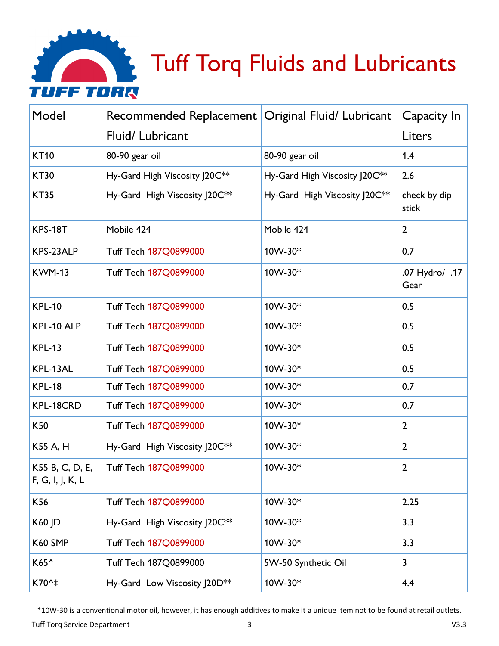

| Model                               | Recommended Replacement   Original Fluid/ Lubricant |                               | Capacity In            |
|-------------------------------------|-----------------------------------------------------|-------------------------------|------------------------|
|                                     | Fluid/Lubricant                                     |                               | Liters                 |
| <b>KT10</b>                         | 80-90 gear oil                                      | 80-90 gear oil                | 1.4                    |
| <b>KT30</b>                         | Hy-Gard High Viscosity J20C**                       | Hy-Gard High Viscosity J20C** | 2.6                    |
| <b>KT35</b>                         | Hy-Gard High Viscosity J20C**                       | Hy-Gard High Viscosity J20C** | check by dip<br>stick  |
| <b>KPS-18T</b>                      | Mobile 424                                          | Mobile 424                    | $\overline{2}$         |
| KPS-23ALP                           | Tuff Tech 187Q0899000                               | 10W-30*                       | 0.7                    |
| <b>KWM-13</b>                       | Tuff Tech 187Q0899000                               | 10W-30*                       | .07 Hydro/ .17<br>Gear |
| <b>KPL-10</b>                       | Tuff Tech 187Q0899000                               | 10W-30*                       | 0.5                    |
| KPL-10 ALP                          | Tuff Tech 187Q0899000                               | 10W-30*                       | 0.5                    |
| <b>KPL-13</b>                       | Tuff Tech 187Q0899000                               | 10W-30*                       | 0.5                    |
| KPL-13AL                            | Tuff Tech 187Q0899000                               | 10W-30*                       | 0.5                    |
| <b>KPL-18</b>                       | Tuff Tech 187Q0899000                               | 10W-30*                       | 0.7                    |
| KPL-18CRD                           | Tuff Tech 187Q0899000                               | 10W-30*                       | 0.7                    |
| K50                                 | Tuff Tech 187Q0899000                               | 10W-30*                       | $\mathbf{2}$           |
| K55 A, H                            | Hy-Gard High Viscosity J20C**                       | 10W-30*                       | $\overline{2}$         |
| K55 B, C, D, E,<br>F, G, I, J, K, L | Tuff Tech 187Q0899000                               | 10W-30*                       | $\mathbf{2}$           |
| K56                                 | Tuff Tech 187Q0899000                               | 10W-30*                       | 2.25                   |
| K60 JD                              | Hy-Gard High Viscosity J20C**                       | 10W-30*                       | 3.3                    |
| K60 SMP                             | Tuff Tech 187Q0899000                               | 10W-30*                       | 3.3                    |
| K65^                                | Tuff Tech 187Q0899000                               | 5W-50 Synthetic Oil           | 3                      |
| K70^‡                               | Hy-Gard Low Viscosity J20D**                        | 10W-30*                       | 4.4                    |

\*10W-30 is a conventional motor oil, however, it has enough additives to make it a unique item not to be found at retail outlets.

Tuff Torq Service Department V3.3